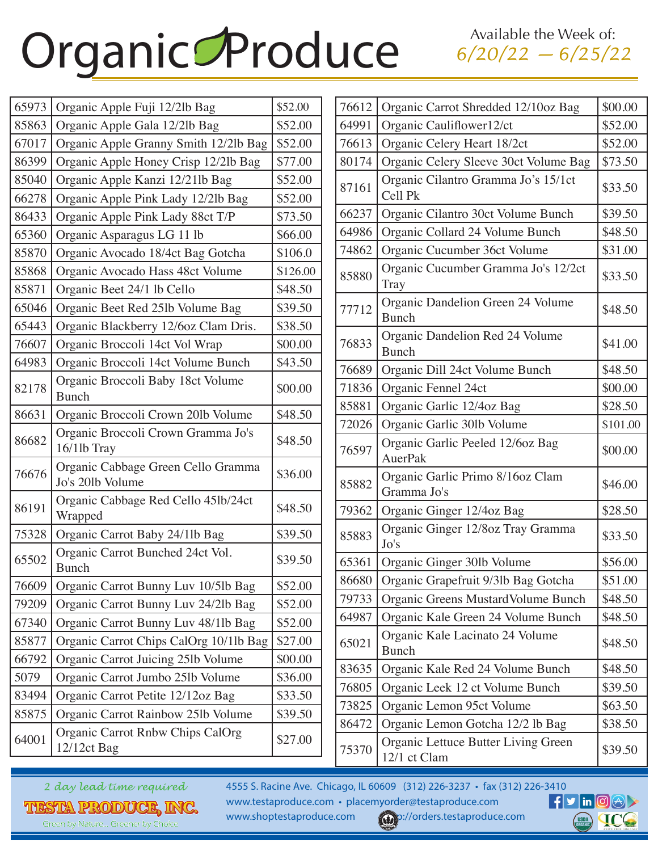## Organic Produce

| 65973<br>Organic Apple Fuji 12/2lb Bag<br>85863<br>Organic Apple Gala 12/2lb Bag<br>67017<br>Organic Apple Granny Smith 12/2lb Bag<br>86399<br>Organic Apple Honey Crisp 12/2lb Bag<br>85040<br>Organic Apple Kanzi 12/21lb Bag | \$52.00<br>\$52.00 |
|---------------------------------------------------------------------------------------------------------------------------------------------------------------------------------------------------------------------------------|--------------------|
|                                                                                                                                                                                                                                 |                    |
|                                                                                                                                                                                                                                 |                    |
|                                                                                                                                                                                                                                 | \$52.00            |
|                                                                                                                                                                                                                                 | \$77.00            |
|                                                                                                                                                                                                                                 | \$52.00            |
| 66278<br>Organic Apple Pink Lady 12/2lb Bag                                                                                                                                                                                     | \$52.00            |
| 86433<br>Organic Apple Pink Lady 88ct T/P                                                                                                                                                                                       | \$73.50            |
| 65360<br>Organic Asparagus LG 11 lb                                                                                                                                                                                             | \$66.00            |
| 85870<br>Organic Avocado 18/4ct Bag Gotcha                                                                                                                                                                                      | \$106.0            |
| 85868<br>Organic Avocado Hass 48ct Volume                                                                                                                                                                                       | \$126.00           |
| 85871<br>Organic Beet 24/1 lb Cello                                                                                                                                                                                             | \$48.50            |
| Organic Beet Red 25lb Volume Bag<br>65046                                                                                                                                                                                       | \$39.50            |
| 65443<br>Organic Blackberry 12/6oz Clam Dris.                                                                                                                                                                                   | \$38.50            |
| 76607<br>Organic Broccoli 14ct Vol Wrap                                                                                                                                                                                         | \$00.00            |
| 64983<br>Organic Broccoli 14ct Volume Bunch                                                                                                                                                                                     | \$43.50            |
| Organic Broccoli Baby 18ct Volume<br>82178<br><b>Bunch</b>                                                                                                                                                                      | \$00.00            |
| 86631<br>Organic Broccoli Crown 201b Volume                                                                                                                                                                                     | \$48.50            |
| Organic Broccoli Crown Gramma Jo's<br>86682<br>16/1lb Tray                                                                                                                                                                      | \$48.50            |
| Organic Cabbage Green Cello Gramma<br>76676<br>Jo's 201b Volume                                                                                                                                                                 | \$36.00            |
| Organic Cabbage Red Cello 45lb/24ct<br>86191<br>Wrapped                                                                                                                                                                         | \$48.50            |
| 75328<br>Organic Carrot Baby 24/1lb Bag                                                                                                                                                                                         | \$39.50            |
| Organic Carrot Bunched 24ct Vol.<br>65502<br><b>Bunch</b>                                                                                                                                                                       | \$39.50            |
| 76609<br>Organic Carrot Bunny Luv 10/5lb Bag                                                                                                                                                                                    | \$52.00            |
| 79209<br>Organic Carrot Bunny Luv 24/2lb Bag                                                                                                                                                                                    | \$52.00            |
| 67340<br>Organic Carrot Bunny Luv 48/1lb Bag                                                                                                                                                                                    | \$52.00            |
| 85877<br>Organic Carrot Chips CalOrg 10/1lb Bag                                                                                                                                                                                 | \$27.00            |
| 66792<br>Organic Carrot Juicing 25lb Volume                                                                                                                                                                                     | \$00.00            |
| 5079<br>Organic Carrot Jumbo 25lb Volume                                                                                                                                                                                        | \$36.00            |
| 83494<br>Organic Carrot Petite 12/12oz Bag                                                                                                                                                                                      | \$33.50            |
| 85875<br>Organic Carrot Rainbow 25lb Volume                                                                                                                                                                                     | \$39.50            |
| Organic Carrot Rnbw Chips CalOrg                                                                                                                                                                                                | \$27.00            |

| 76612 | Organic Carrot Shredded 12/10oz Bag                 | \$00.00  |
|-------|-----------------------------------------------------|----------|
| 64991 | Organic Cauliflower12/ct                            | \$52.00  |
| 76613 | Organic Celery Heart 18/2ct                         | \$52.00  |
| 80174 | Organic Celery Sleeve 30ct Volume Bag               | \$73.50  |
| 87161 | Organic Cilantro Gramma Jo's 15/1ct<br>Cell Pk      | \$33.50  |
| 66237 | Organic Cilantro 30ct Volume Bunch                  | \$39.50  |
| 64986 | Organic Collard 24 Volume Bunch                     | \$48.50  |
| 74862 | Organic Cucumber 36ct Volume                        | \$31.00  |
| 85880 | Organic Cucumber Gramma Jo's 12/2ct<br>Tray         | \$33.50  |
| 77712 | Organic Dandelion Green 24 Volume<br><b>Bunch</b>   | \$48.50  |
| 76833 | Organic Dandelion Red 24 Volume<br><b>Bunch</b>     | \$41.00  |
| 76689 | Organic Dill 24ct Volume Bunch                      | \$48.50  |
| 71836 | Organic Fennel 24ct                                 | \$00.00  |
| 85881 | Organic Garlic 12/4oz Bag                           | \$28.50  |
| 72026 | Organic Garlic 301b Volume                          | \$101.00 |
| 76597 | Organic Garlic Peeled 12/6oz Bag<br><b>AuerPak</b>  | \$00.00  |
| 85882 | Organic Garlic Primo 8/16oz Clam<br>Gramma Jo's     | \$46.00  |
| 79362 | Organic Ginger 12/4oz Bag                           | \$28.50  |
| 85883 | Organic Ginger 12/8oz Tray Gramma<br>Jo's           | \$33.50  |
| 65361 | Organic Ginger 30lb Volume                          | \$56.00  |
| 86680 | Organic Grapefruit 9/3lb Bag Gotcha                 | \$51.00  |
| 79733 | Organic Greens MustardVolume Bunch                  | \$48.50  |
| 64987 | Organic Kale Green 24 Volume Bunch                  | \$48.50  |
| 65021 | Organic Kale Lacinato 24 Volume<br><b>Bunch</b>     | \$48.50  |
| 83635 | Organic Kale Red 24 Volume Bunch                    | \$48.50  |
| 76805 | Organic Leek 12 ct Volume Bunch                     | \$39.50  |
| 73825 | Organic Lemon 95ct Volume                           | \$63.50  |
| 86472 | Organic Lemon Gotcha 12/2 lb Bag                    | \$38.50  |
| 75370 | Organic Lettuce Butter Living Green<br>12/1 ct Clam | \$39.50  |

*2 day lead time required*

TESTA PRODUCE, INC.

Green by Nature... Greener by Choice

4555 S. Racine Ave. Chicago, IL 60609 (312) 226-3237 • fax (312) 226-3410 www.testaproduce.com • placemyorder@testaproduce.com www.shoptestaproduce.com  $\left(\begin{matrix} \sqrt{1+\frac{1}{2}} & \sqrt{1+\frac{1}{2}} \\ \sqrt{1+\frac{1}{2}} & \sqrt{1+\frac{1}{2}} \end{matrix}\right)$  ://orders.testaproduce.com

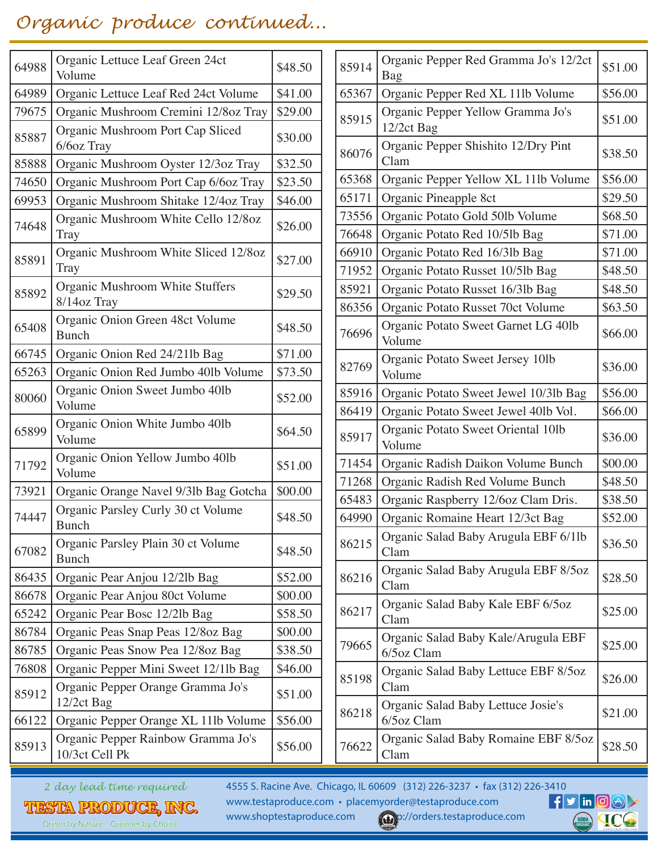## *Organic produce continued...*

| 64988 | Organic Lettuce Leaf Green 24ct<br>Volume                                | \$48.50 | 85914          | Organic Pe<br>Bag        |
|-------|--------------------------------------------------------------------------|---------|----------------|--------------------------|
| 64989 | Organic Lettuce Leaf Red 24ct Volume                                     | \$41.00 | 65367          | Organic Pe               |
| 79675 | Organic Mushroom Cremini 12/8oz Tray<br>Organic Mushroom Port Cap Sliced | \$29.00 | 85915          | Organic Pe<br>12/2ct Bag |
| 85887 | 6/6oz Tray                                                               | \$30.00 | 86076          | Organic Pe<br>Clam       |
| 85888 | Organic Mushroom Oyster 12/3oz Tray                                      | \$32.50 | 65368          |                          |
| 74650 | Organic Mushroom Port Cap 6/6oz Tray                                     | \$23.50 | 65171          | Organic Pe<br>Organic Pi |
| 69953 | Organic Mushroom Shitake 12/4oz Tray                                     | \$46.00 |                |                          |
| 74648 | Organic Mushroom White Cello 12/8oz<br><b>Tray</b>                       | \$26.00 | 73556<br>76648 | Organic Po<br>Organic Po |
|       | Organic Mushroom White Sliced 12/8oz                                     |         | 66910          | Organic Po               |
| 85891 | Tray                                                                     | \$27.00 | 71952          | Organic Po               |
| 85892 | Organic Mushroom White Stuffers<br>8/14oz Tray                           | \$29.50 | 85921          | Organic Po               |
|       |                                                                          |         | 86356          | Organic Po               |
| 65408 | Organic Onion Green 48ct Volume<br><b>Bunch</b>                          | \$48.50 | 76696          | Organic Po<br>Volume     |
| 66745 | Organic Onion Red 24/21lb Bag                                            | \$71.00 |                | Organic Po               |
| 65263 | Organic Onion Red Jumbo 40lb Volume                                      | \$73.50 | 82769          | Volume                   |
| 80060 | Organic Onion Sweet Jumbo 40lb                                           | \$52.00 | 85916          | Organic Po               |
|       | Volume                                                                   |         | 86419          | Organic Po               |
| 65899 | Organic Onion White Jumbo 40lb<br>Volume                                 | \$64.50 | 85917          | Organic Po<br>Volume     |
| 71792 | Organic Onion Yellow Jumbo 40lb<br>Volume                                | \$51.00 | 71454          | Organic R                |
| 73921 | Organic Orange Navel 9/3lb Bag Gotcha                                    | \$00.00 | 71268          | Organic R                |
|       | Organic Parsley Curly 30 ct Volume                                       |         | 65483          | Organic R                |
| 74447 | Bunch                                                                    | \$48.50 | 64990          | Organic R                |
| 67082 | Organic Parsley Plain 30 ct Volume<br><b>Bunch</b>                       | \$48.50 | 86215          | Organic Sa<br>Clam       |
| 86435 | Organic Pear Anjou 12/2lb Bag                                            | \$52.00 | 86216          | Organic Sa               |
| 86678 | Organic Pear Anjou 80ct Volume                                           | \$00.00 |                | Clam                     |
| 65242 | Organic Pear Bosc 12/2lb Bag                                             | \$58.50 | 86217          | Organic Sa<br>Clam       |
| 86784 | Organic Peas Snap Peas 12/8oz Bag                                        | \$00.00 |                | Organic Sa               |
| 86785 | Organic Peas Snow Pea 12/8oz Bag                                         | \$38.50 | 79665          | 6/5oz Clar               |
| 76808 | Organic Pepper Mini Sweet 12/1lb Bag                                     | \$46.00 |                | Organic Sa               |
| 85912 | Organic Pepper Orange Gramma Jo's<br>12/2ct Bag                          | \$51.00 | 85198          | Clam                     |
| 66122 | Organic Pepper Orange XL 11lb Volume                                     | \$56.00 | 86218          | Organic Sa<br>6/5oz Clar |
| 85913 | Organic Pepper Rainbow Gramma Jo's<br>10/3ct Cell Pk                     | \$56.00 | 76622          | Organic Sa<br>Clam       |

| 85914 | Organic Pepper Red Gramma Jo's 12/2ct<br>Bag      | \$51.00 |
|-------|---------------------------------------------------|---------|
| 65367 | Organic Pepper Red XL 11lb Volume                 | \$56.00 |
| 85915 | Organic Pepper Yellow Gramma Jo's<br>12/2ct Bag   | \$51.00 |
| 86076 | Organic Pepper Shishito 12/Dry Pint<br>Clam       | \$38.50 |
| 65368 | Organic Pepper Yellow XL 11lb Volume              | \$56.00 |
| 65171 | Organic Pineapple 8ct                             | \$29.50 |
| 73556 | Organic Potato Gold 50lb Volume                   | \$68.50 |
| 76648 | Organic Potato Red 10/5lb Bag                     | \$71.00 |
| 66910 | Organic Potato Red 16/3lb Bag                     | \$71.00 |
| 71952 | Organic Potato Russet 10/5lb Bag                  | \$48.50 |
| 85921 | Organic Potato Russet 16/3lb Bag                  | \$48.50 |
| 86356 | Organic Potato Russet 70ct Volume                 | \$63.50 |
| 76696 | Organic Potato Sweet Garnet LG 40lb<br>Volume     | \$66.00 |
| 82769 | Organic Potato Sweet Jersey 10lb<br>Volume        | \$36.00 |
| 85916 | Organic Potato Sweet Jewel 10/3lb Bag             | \$56.00 |
| 86419 | Organic Potato Sweet Jewel 40lb Vol.              | \$66.00 |
| 85917 | Organic Potato Sweet Oriental 10lb<br>Volume      | \$36.00 |
| 71454 | Organic Radish Daikon Volume Bunch                | \$00.00 |
| 71268 | Organic Radish Red Volume Bunch                   | \$48.50 |
| 65483 | Organic Raspberry 12/6oz Clam Dris.               | \$38.50 |
| 64990 | Organic Romaine Heart 12/3ct Bag                  | \$52.00 |
| 86215 | Organic Salad Baby Arugula EBF 6/1lb<br>Clam      | \$36.50 |
| 86216 | Organic Salad Baby Arugula EBF 8/5oz<br>Clam      | \$28.50 |
| 86217 | Organic Salad Baby Kale EBF 6/5oz<br>Clam         | \$25.00 |
| 79665 | Organic Salad Baby Kale/Arugula EBF<br>6/5oz Clam | \$25.00 |
| 85198 | Organic Salad Baby Lettuce EBF 8/50z<br>Clam      | \$26.00 |
| 86218 | Organic Salad Baby Lettuce Josie's<br>6/5oz Clam  | \$21.00 |
| 76622 | Organic Salad Baby Romaine EBF 8/5oz<br>Clam      | \$28.50 |

*2 day lead time required*

TIESTA PRODUCE, INC. Green by Nature... Greener by Choice

4555 S. Racine Ave. Chicago, IL 60609 (312) 226-3237 • fax (312) 226-3410<br>www.testaproduce.com • placemyorder@testaproduce.com **+ + 5 in 0 4** www.testaproduce.com • placemyorder@testaproduce.com

www.shoptestaproduce.com  $\left(\begin{matrix} \sqrt{16} & \sqrt{16} \\ \sqrt{16} & \sqrt{16} \end{matrix}\right)$  ://orders.testaproduce.com

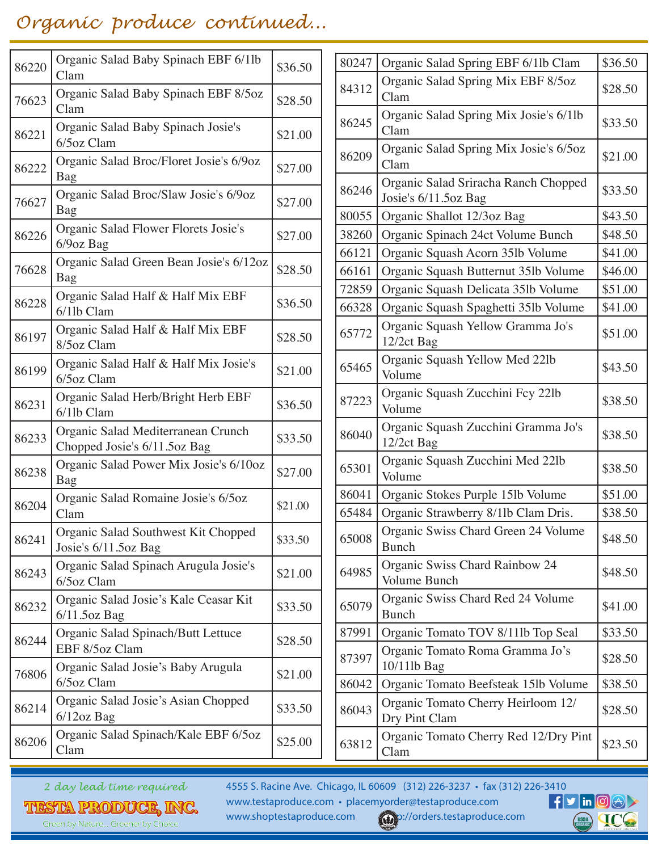## *Organic produce continued...*

| \$36.50<br>\$28.50<br>\$21.00<br>\$27.00 |
|------------------------------------------|
|                                          |
|                                          |
|                                          |
|                                          |
| \$27.00                                  |
| \$27.00                                  |
| \$28.50                                  |
| \$36.50                                  |
| \$28.50                                  |
| \$21.00                                  |
| \$36.50                                  |
| \$33.50                                  |
| \$27.00                                  |
| \$21.00                                  |
| \$33.50                                  |
| \$21.00                                  |
| \$33.50                                  |
| \$28.50                                  |
| \$21.00                                  |
| \$33.50                                  |
| \$25.00                                  |
|                                          |

| 80247 | Organic Salad Spring EBF 6/1lb Clam                          | \$36.50 |
|-------|--------------------------------------------------------------|---------|
| 84312 | Organic Salad Spring Mix EBF 8/5oz<br>Clam                   | \$28.50 |
| 86245 | Organic Salad Spring Mix Josie's 6/1lb<br>Clam               | \$33.50 |
| 86209 | Organic Salad Spring Mix Josie's 6/5oz<br>Clam               | \$21.00 |
| 86246 | Organic Salad Sriracha Ranch Chopped<br>Josie's 6/11.5oz Bag | \$33.50 |
| 80055 | Organic Shallot 12/3oz Bag                                   | \$43.50 |
| 38260 | Organic Spinach 24ct Volume Bunch                            | \$48.50 |
| 66121 | Organic Squash Acorn 35lb Volume                             | \$41.00 |
| 66161 | Organic Squash Butternut 351b Volume                         | \$46.00 |
| 72859 | Organic Squash Delicata 35lb Volume                          | \$51.00 |
| 66328 | Organic Squash Spaghetti 35lb Volume                         | \$41.00 |
| 65772 | Organic Squash Yellow Gramma Jo's<br>12/2ct Bag              | \$51.00 |
| 65465 | Organic Squash Yellow Med 22lb<br>Volume                     | \$43.50 |
| 87223 | Organic Squash Zucchini Fcy 22lb<br>Volume                   | \$38.50 |
| 86040 | Organic Squash Zucchini Gramma Jo's<br>12/2ct Bag            | \$38.50 |
| 65301 | Organic Squash Zucchini Med 22lb<br>Volume                   | \$38.50 |
| 86041 | Organic Stokes Purple 15lb Volume                            | \$51.00 |
| 65484 | Organic Strawberry 8/11b Clam Dris.                          | \$38.50 |
| 65008 | Organic Swiss Chard Green 24 Volume<br><b>Bunch</b>          | \$48.50 |
| 64985 | Organic Swiss Chard Rainbow 24<br><b>Volume Bunch</b>        | \$48.50 |
| 65079 | Organic Swiss Chard Red 24 Volume<br><b>Bunch</b>            | \$41.00 |
| 87991 | Organic Tomato TOV 8/11lb Top Seal                           | \$33.50 |
| 87397 | Organic Tomato Roma Gramma Jo's<br>10/11lb Bag               | \$28.50 |
| 86042 | Organic Tomato Beefsteak 15lb Volume                         | \$38.50 |
| 86043 | Organic Tomato Cherry Heirloom 12/<br>Dry Pint Clam          | \$28.50 |
| 63812 | Organic Tomato Cherry Red 12/Dry Pint<br>Clam                | \$23.50 |

*2 day lead time required*

TESTA PRODUCE, INC. Green by Nature... Greener by Choice

4555 S. Racine Ave. Chicago, IL 60609 (312) 226-3237 • fax (312) 226-3410<br>www.testaproduce.com • placemyorder@testaproduce.com **1990 PM** www.testaproduce.com • placemyorder@testaproduce.com

www.shoptestaproduce.com  $\left(\begin{matrix} \sqrt{16} & 1 \end{matrix}\right)$ ://orders.testaproduce.com

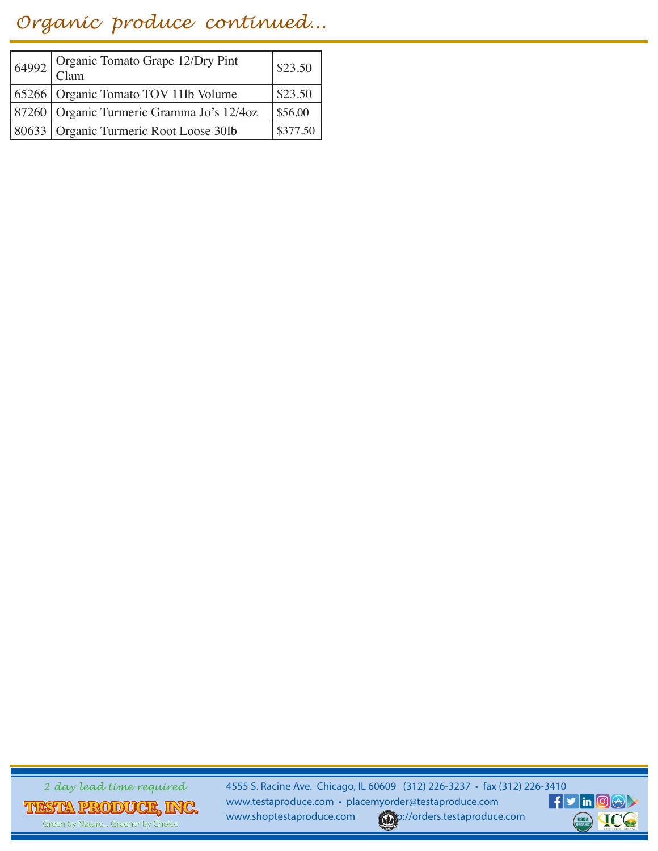## *Organic produce continued...*

| 64992 Organic Tomato Grape 12/Dry Pint      | \$23.50  |
|---------------------------------------------|----------|
| 65266   Organic Tomato TOV 111b Volume      | \$23.50  |
| 87260   Organic Turmeric Gramma Jo's 12/4oz | \$56.00  |
| 80633 Organic Turmeric Root Loose 30lb      | \$377.50 |

*2 day lead time required*

TIESTA PRODUCE, INC. Green by Nature... Greener by Choice

4555 S. Racine Ave. Chicago, IL 60609 (312) 226-3237 • fax (312) 226-3410<br>www.testaproduce.com • placemyorder@testaproduce.com **+ + 5 in 0 4** www.testaproduce.com • placemyorder@testaproduce.com www.shoptestaproduce.com  $\left(\begin{matrix} \sqrt{16} & 1 \end{matrix}\right)$ ://orders.testaproduce.com